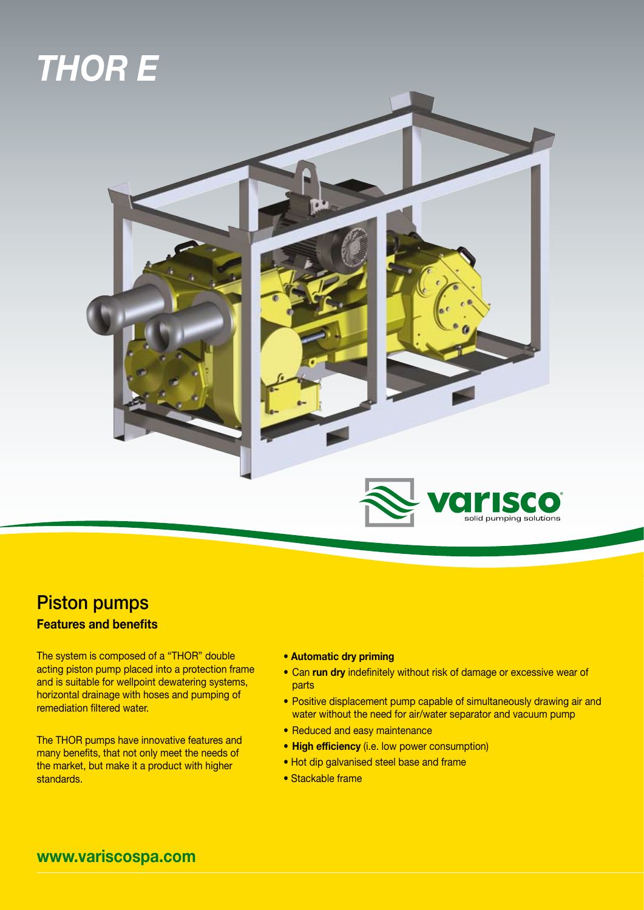## *THOR E*



## Piston pumps

## **Features and benefits**

The system is composed of a "THOR" double acting piston pump placed into a protection frame and is suitable for wellpoint dewatering systems, horizontal drainage with hoses and pumping of remediation filtered water.

The THOR pumps have innovative features and many benefits, that not only meet the needs of the market, but make it a product with higher standards.

- **Automatic dry priming**
- **•** Can **run dry** indefinitely without risk of damage or excessive wear of parts
- **•** Positive displacement pump capable of simultaneously drawing air and water without the need for air/water separator and vacuum pump
- **•** Reduced and easy maintenance
- **• High efficiency** (i.e. low power consumption)
- Hot dip galvanised steel base and frame
- Stackable frame